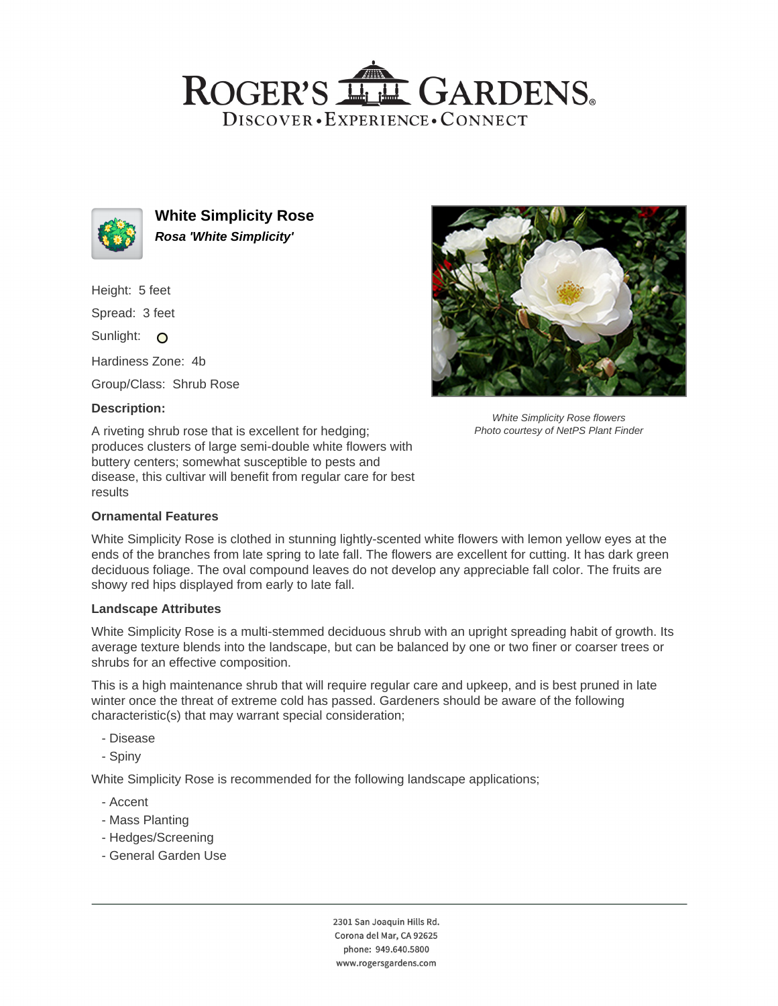# ROGER'S LL GARDENS. DISCOVER · EXPERIENCE · CONNECT



**White Simplicity Rose Rosa 'White Simplicity'**

Height: 5 feet

Spread: 3 feet

Sunlight: O

Hardiness Zone: 4b

Group/Class: Shrub Rose

### **Description:**

A riveting shrub rose that is excellent for hedging; produces clusters of large semi-double white flowers with buttery centers; somewhat susceptible to pests and disease, this cultivar will benefit from regular care for best results

### **Ornamental Features**

White Simplicity Rose flowers Photo courtesy of NetPS Plant Finder

White Simplicity Rose is clothed in stunning lightly-scented white flowers with lemon yellow eyes at the ends of the branches from late spring to late fall. The flowers are excellent for cutting. It has dark green deciduous foliage. The oval compound leaves do not develop any appreciable fall color. The fruits are showy red hips displayed from early to late fall.

### **Landscape Attributes**

White Simplicity Rose is a multi-stemmed deciduous shrub with an upright spreading habit of growth. Its average texture blends into the landscape, but can be balanced by one or two finer or coarser trees or shrubs for an effective composition.

This is a high maintenance shrub that will require regular care and upkeep, and is best pruned in late winter once the threat of extreme cold has passed. Gardeners should be aware of the following characteristic(s) that may warrant special consideration;

- Disease
- Spiny

White Simplicity Rose is recommended for the following landscape applications;

- Accent
- Mass Planting
- Hedges/Screening
- General Garden Use

2301 San Joaquin Hills Rd. Corona del Mar, CA 92625 phone: 949.640.5800 www.rogersgardens.com